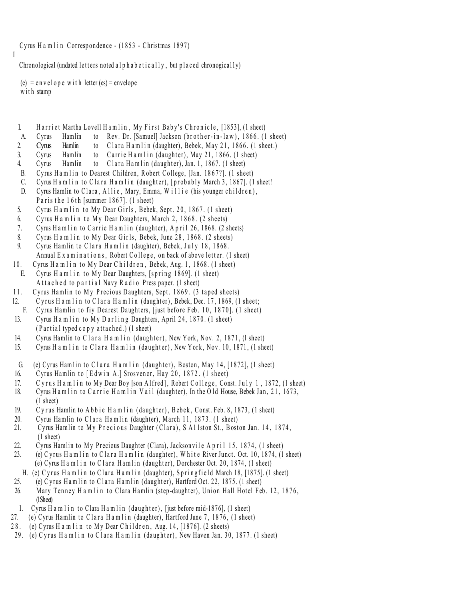Cyrus Hamlin Correspondence - (1853 - Christmas 1897)

Chronological (undated letters noted alphabetically, but placed chronogically)

 $(e) = e n v e l o p e w i t h leter (es) = envelope$ with stamp

I

- 1. Harriet Martha Lovell Hamlin, My First Baby's Chronicle, [1853], (1 sheet)
- A. Cyrus Hamlin to Rev. Dr. [Samuel] Jackson (brother-in-law), 1866. (1 sheet)
- 2. Cyrus Hamlin to Clara Hamlin (daughter), Bebek, May 21, 1866. (1 sheet.)
- 3. Cyrus Hamlin to Carrie Hamlin (daughter), May 21, 1866. (1 sheet)
- 4. Cyrus Hamlin to Clara Hamlin (daughter), Jan. 1, 1867. (1 sheet)
- B. Cyrus Hamlin to Dearest Children, Robert College, [Jan. 1867?]. (1 sheet)
- C. Cyrus Hamlin to Clara Hamlin (daughter), [probably March 3, 1867]. (1 sheet!
- D. Cyrus Hamlin to Clara, Allie, Mary, Emma, Willie (his younger children), Paris the 16<sup>th</sup> [summer  $1867$ ]. (1 sheet)
- 5. Cyrus Ham lin to My Dear Girls, Bebek, Sept. 20, 1867. (1 sheet)
- 6. Cyrus Hamlin to My Dear Daughters, March 2, 1868. (2 sheets)
- 7. Cyrus Ham lin to Carrie Ham lin (daughter), April 26, 1868. (2 sheets)
- 8. Cyrus H a m l i n to My Dear Girls, Bebek, June 28, 1868. (2 sheets)
- 9. Cyrus Hamlin to Clara Hamlin (daughter), Bebek, July 18, 1868. Annual Examinations, Robert College, on back of above letter. (1 sheet)
- 10. Cyrus Hamlin to My Dear Children, Bebek, Aug. 1, 1868. (1 sheet) E. Cyrus H a m l i n to M y Dear Daughters, [spring  $1869$ ]. (1 sheet) A t t a c h e d to p a r t i a l Navy R a d i o Press paper. (1 sheet)
- 11. Cyrus Hamlin to My Precious Daughters, Sept. 1869. (3 taped sheets)
- 12. Cyrus H a m l i n to C l a r a H a m l i n (daughter), Bebek, Dec. 17, 1869, (1 sheet; F. Cyrus Hamlin to fiv Dearest Daughters, [just before Feb. 10, 1870]. (1 sheet)
- 13. Cyrus H a m l i n to M y D ar l i n g Daughters, April 24, 1870. (1 sheet)  $(Partial typed copy attached.)$   $(1 sheet)$
- 14. Cyrus Hamlin to Clara H a m l i n (daughter), New York, Nov. 2, 1871, (1 sheet)
- 15. Cyrus H a m l i n to C l a r a H a m l i n (daughter), New York, Nov. 10, 1871. (1 sheet)
- G. (e) Cyrus Hamlin to Clara Hamlin (daughter), Boston, May 14, [1872], (1 sheet)
- 16. Cyrus Hamlin to [Edwin A.] Srosvenor, Hay 20, 1872. (1 sheet)
- 17. Cyrus Hamlin to My Dear Boy [son Alfred], Robert College, Const. July 1, 1872, (1 sheet)
- 18. Cyrus H a m l i n to C a r r i e H a m l i n V a i l (daughter), In the O ld House, Bebek Jan, 21, 1673, (1 sheet)
- 19. C v rus Hamlin to Abbie H a m lin (daughter), Bebek, Const. Feb. 8, 1873. (1 sheet)
- 20. Cyrus Hamlin to Clara Hamlin (daughter), March 11, 1873.  $(1 \text{ sheet})$
- 21. Cyrus Hamlin to My Precious Daughter (Clara), S Allston St., Boston Jan. 14, 1874, (1 sheet)
- 22. Cyrus Hamlin to My Precious Daughter (Clara), Jacksonvile April 15, 1874, (1 sheet)
- 23. (e) C y rus H a m l i n to C l a r a H a m l i n (daughter), W h it e River Junct. Oct. 10, 1874,  $(1 \text{ sheet})$ (e) Cyrus H a m l i n to Clara H a m l i n (daughter), Dorchester Oct. 20, 1874, (1 sheet)
- H. (e) Cyrus Hamlin to Clara Hamlin (daughter), Springfield March 18, [1875]. (1 sheet)
- 25. (e) C y rus H a m l in to C l a r a H a m l in (daughter), Hartford Oct. 22, 1875. (1 sheet)
- 26. Mary Tenney Hamlin to Clara Hamlin (step-daughter), Union Hall Hotel Feb. 12, 1876. (1Sheet)
- I. Cyrus H a m l i n to Clara H a m l i n (d a ughter), [just before mid-1876], (1 sheet)
- 27. (e) Cyrus Hamlin to Clara Hamlin (daughter), Hartford June 7, 1876, (1 sheet)
- 28. (e) Cyrus H a m l i n to My Dear Children, Aug. 14, [1876]. (2 sheets)
- 29. (e) Cyrus Hamlin to Clara Hamlin (daughter), New Haven Jan. 30, 1877. (1 sheet)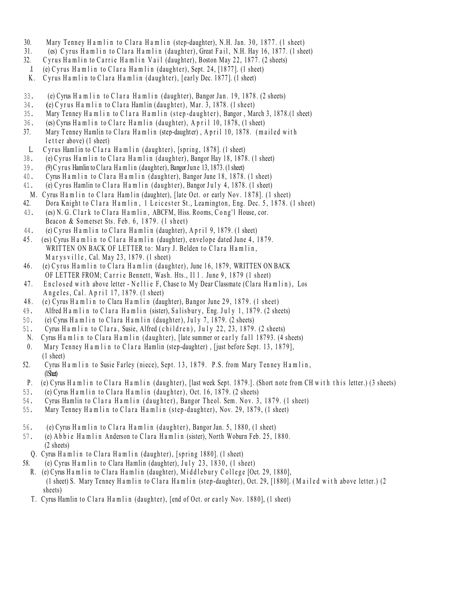- 30. Mary Tenney H a m lin to Clara H a m lin (step-daughter), N.H. Jan. 30, 1877. (1 sheet)
- 31. (es) C y rus H a m l i n to C l a r a H a m l i n (daughter), Great F a i l, N.H. Hay 16, 1877. (1 sheet)
- 32. C y rus H a m l i n to C a r rie H a m l i n V a i l (daughter), Boston May 22, 1877. (2 sheets)
- J. (e) Cyrus Ham lin to Clara Ham lin (daughter), Sept. 24, [1877]. (1 sheet)
- K. Cyrus Hamlin to Clara Hamlin (daughter), [early Dec. 1877]. (1 sheet)
- 33. (e) Cyrus H a m l i n to C l a r a H a m l i n (daughter), Bangor Jan. 19, 1878. (2 sheets)
- $34.$  (e) C y r us H a m l i n to C l a r a Ham l in (daughter), Mar.  $3, 1878.$  (1 sheet)
- 35. Mary Tenney Hamlin to Clara Hamlin (step-daughter), Bangor, March 3, 1878.(1 sheet)
- 36. (es) Cyrus H a m l i n to Clare H a m l i n (daughter), A p r i l 10, 1878, (1 sheet)
- 37. Mary Tenney Hamlin to Clara Hamlin (step-daughter), April 10, 1878. (mailed with l etter above) (1 sheet)
- L. Cyrus Hamlin to Clara Hamlin (daughter), [spring, 1878]. (1 sheet)
- 38. (e) Cyrus Hamlin to Clara Hamlin (daughter), Bangor Hay 18, 1878. (1 sheet)
- 39. (9) C y rus Hamlin to C lara H a m l i n (daught er), Bangor June 13, 1873. (1 sheet)
- 40. Cyrus Hamlin to Clara Hamlin (daughter), Bangor June 18, 1878. (1 sheet)
- 41. (e) Cyrus Hamlin to Clara Hamlin (daughter), Bangor July 4, 1878. (1 sheet)
- M. Cyrus Hamlin to Clara Hamlin (daughter), [late Oct. or early Nov. 1878]. (1 sheet)
- 42. Dora Knight to Clara Hamlin, 1 Leicester St., Leamington, Eng. Dec. 5, 1878. (1 sheet)
- 43. (es) N. G. Clark to Clara Hamlin, ABCFM, Hiss. Rooms, Cong'l House, cor. Beacon & Somerset Sts. Feb. 6, 1879. (1 sheet)
- 44. (e) C y rus H a m l i n to C l a r a H a m l i n (daughter), A p r i l 9, 1879. (1 sheet)
- 45. (es) Cyrus H a m l i n to Clara H a m l i n (daughter), envelope dated June 4, 1879. WRITTEN ON BACK OF LETTER to: Mary J. Belden to Clara Hamlin,  $M$  a r y s v i l l e , Cal. May 23, 1879. (1 sheet)
- 46. (e) Cyrus Hamlin to Clara Hamlin (daughter), June 16, 1879, WRITTEN ON BACK OF LETTER FROM; Carrie Bennett, Wash. Hts., I11. June 9, 1879 (1 sheet)
- 47. Enclosed with above letter Nellie F, Chase to My Dear Classmate (Clara Hamlin), Los Angeles, Cal. April 17, 1879. (1 sheet)
- 48. (e) Cyrus Hamlin to Clara Hamlin (daughter), Bangor June 29, 1879. (1 sheet)
- 49. Alfred Hamlin to Clara Hamlin (sister), Salisbury, Eng. July 1, 1879. (2 sheets)
- 50. (e) Cyrus H a m l i n to Clara H a m l i n (daughter), July 7, 1879. (2 sheets)
- 51. Cyrus Hamlin to Clara, Susie, Alfred (children), July 22, 23, 1879. (2 sheets)
- N. Cyrus Hamlin to Clara Hamlin (daughter), [late summer or early fall 18793. (4 sheets)
- 0. Mary Tenney Hamlin to Clara Hamlin (step-daughter), [just before Sept. 13, 1879], (1 sheet)
- 52. Cyrus H a m l i n to Susie Farley (niece), Sept. 13, 1879. P.S. from Mary Tenney H a m l in,  $(1S<sub>het</sub>)$
- P. (e) Cyrus H a m l i n to Clara H a m l i n (daughter), [last week Sept. 1879.]. (Short note from CH with this letter.) (3 sheets)
- 53. (e) Cyrus Hamlin to Clara Hamlin (daughter), Oct. 16, 1879. (2 sheets)
- 54. Cyrus Hamlin to Clara Hamlin (daughter), Bangor Theol. Sem. Nov. 3, 1879. (1 sheet)
- 55. Mary Tenney Hamlin to Clara Hamlin (step-daughter), Nov. 29, 1879, (1 sheet)
- 56. (e) Cyrus H a m l i n to Clara H a m l i n (daughter), Bangor Jan. 5, 1880, (1 sheet)
- 57. (e) A b b i e H a m l in Anderson to Clara H a m l in (sister), North Woburn Feb. 25, 1880. (2 sheets)
- Q. Cyrus Hamlin to Clara Hamlin (daughter), [spring 1880]. (1 sheet)
- 58. (e) Cyrus Hamlin to Clara Hamlin (daughter), July 23, 1830, (1 sheet)
	- R. (e) Cyrus Hamlin to Clara Hamlin (daughter), Middlebury College [Oct. 29, 1880], (1 sheet) S. Mary Tenney Hamlin to Clara Hamlin (step-daughter), Oct. 29, [1880]. (Mailed with above letter.) (2 sheets)
	- T. Cyrus Hamlin to Clara Hamlin (daughter), [end of Oct. or early Nov. 1880], (1 sheet)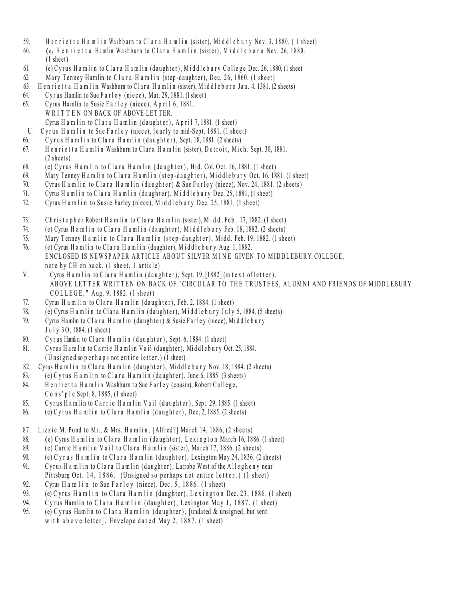- 59. Henrietta Hamlin Washburn to Clara Hamlin (sister), Middlebury Nov. 3, 1880, (1 sheet)
- 60. *(e)* Henrietta Hamlin Washburn to Clara Hamlin (sister), Middleboro Nov. 26, 1880.  $(1 \text{ sheet})$
- 61. (e) C y rus H a m lin to C lara H a m lin (d aughter), Middlebury College Dec. 26, 1880. (1 sheet
- 62. Mary Tenney Hamlin to Clara Hamlin (step-daughter), Dec, 26, 1860. (1 sheet)
- 63. H e n rietta H a m lin Washburn to Clara H a m lin (sister), Middleboro Jan. 4, 1381. (2 sheets)
- 64. Cyrus Hamlin to Sue Farley (niece), Mar. 29, 1881. (1 sheet)
- 65. Cyrus Hamlin to Susie Farley (niece), April 6, 1881. WRITTEN ON BACK OF ABOVE LETTER. Cyrus H a m lin to Clara H a m lin (daughter),  $A$  p r il 7, 1881. (1 sheet)
- U. Cyrus Hamlin to Sue Farley (niece), [early to mid-Sept. 1881. (1 sheet)
- 66. Cyrus Ham lin to Clara Ham lin (daughter), Sept. 18, 1881. (2 sheets)
- 67. Henrietta Hamlin Washburn to Clara Hamlin (sister), Detroit, Mich. Sept. 30, 1881.  $(2 \text{ sheets})$
- 68. (e) Cyrus Hamlin to Clara Hamlin (daughter), Hid. Col. Oct. 16, 1881. (1 sheet)
- 69. Mary Tenney Hamlin to Clara Hamlin (step-daughter), Middlebury Oct. 16, 1881. (1 sheet)
- 70. Cyrus Hamlin to Clara Hamlin (daughter) & Sue Farley (niece), Nov. 24, 1881. (2 sheets)
- 71. Cyrus Hamlin to Clara Hamlin (daughter), Middlebury Dec. 25, 1881, (1 sheet)
- 72. Cyrus H a m lin to Susie Farley (niece), Middlebury Dec. 25, 1881. (1 sheet)
- 73. Christopher Robert Hamlin to Clara Hamlin (sister), Midd. Feb. . 17, 1882. (1 sheet)
- 74. (e) Cyrus H a m l i n to Clara H a m l in (daughter), Middlebury Feb. 18, 1882. (2 sheets)
- 75. Mary Tenney H a m l in to Clara H a m l in (step-daughter), Midd. Feb. 19, 1882. (1 sheet)
- 76. (e) Cyrus H a m lin to Clara H a m lin (daughter), Middlebury Aug. 1, 1882. ENCLOSED IS NEWSPAPER ARTICLE ABOUT SILVER MINE GIVEN TO MIDDLEBURY COLLEGE, note by CH on back. (1 sheet, 1 article)
- V. Cyrus H a m lin to Clara H a m lin (daughter), Sept. 19, [1882] (in text of letter). ABOVE LETTER WRITTEN ON BACK OF "CIRCULAR TO THE TRUSTEES, ALUMNI AND FRIENDS OF MIDDLEBURY  $COLLEGE, "Aug. 9, 1882. (1 sheet)$
- 77. Cyrus H a m lin to Clara H a m lin (daughter), Feb. 2, 1884. (1 sheet)
- 78. (e) Cyrus H a m l i n to Clara H a m l in (daughter), M iddlebur y July 5, 1884. (5 sheets)
- 79. Cyrus Hamlin to Clara Hamlin (daughter) & Susie Farley (niece), Middlebury  $J$  u  $l$  v  $3$  O,  $1884$ . (1 sheet)
- 80. Cyrus Hamlin to Clara Hamlin (daughter), Sept. 6, 1884. (1 sheet)
- 81. Cyrus Ham lin to Carrie Ham lin Vail (daughter), Middlebury Oct. 25, 1884.  $(U$  n signed so perhaps not entire letter.)  $(I$  sheet)
- 82. Cyrus Ham lin to Clara Ham lin (daughter), Middlebury Nov. 18, 1884. (2 sheets)
- 83. (e) Cyrus H a m l in to Clara H a m l in (daughter), June 6, 1885. (3 sheets) 84. Henrietta Hamlin Washburn to Sue Farley (cousin), Robert College,  $C$  o n s' p l e Sept. 8, 1885,  $(1 \text{ sheet})$
- 85. Cyrus Hamlin to Carrie Hamlin Vail (daughter), Sept. 29, 1885. (1 sheet)
- 86. (e) C y rus H a m l in to C l a r a H a m l in (d a u g h t e r), Dec, 2, 1885. (2 sheets)
- 87. Lizzie M. Pond to Mr., & Mrs. Hamlin, [Alfred?] March 14, 1886, (2 sheets)
- 88.  $\qquad$  (e) Cyrus H a m l i n to Clara H a m l in (daughter), Lexing ton March 16, 1886. (1 sheet)
- 89. (e) Carrie H a m l i n V a i l to Clar a H a m l i n (sister), March 17, 1886. (2 sheets)
- 90. (e) C y r u s H a m l i n to C l a r a H a m l i n (d a u g h t e r), L exington May 24, 1836. (2 sheets)
- 91. Cyrus H a m lin to Clara H a m lin (daughter), Latrobe West of the Allegheny near Pittsburg Oct. 14, 1886. (Unsigned so perhaps not entire letter.) (1 sheet)
- 92. Cyrus H a m l i n to Sue F a r l e y (niece), Dec. 5, 1886. (1 sheet)
- 93. (e) C y rus H a m l i n to Clara H a m l i n (daughter), L e x i n g t o n Dec. 23, 1886. (1 sheet)
- 94. Cyrus Hamlin to Clara Hamlin (daughter), Lexington May 1, 1887. (1 sheet)
- 95. (e) C y rus Hamlin to C l a r a H a m l i n (d aughter), [undated  $\&$  unsigned, but sent with a bo v e letter]. Envelope dated May 2,  $1887$ . (1 sheet)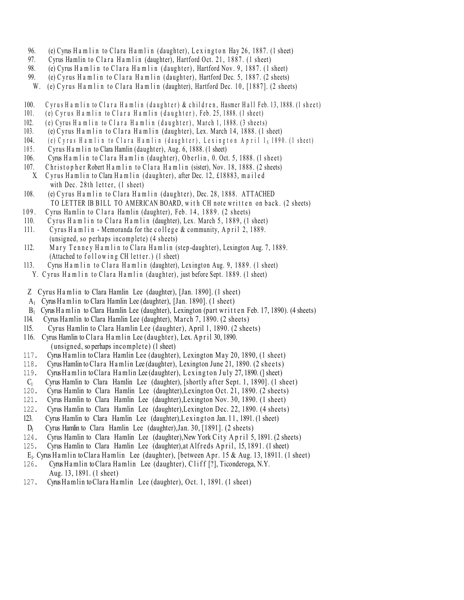- 96. (e) Cyrus H a m l i n to Clara H a m l i n (daughter), L e x i n g t o n Hay 26, 1887. (1 sheet)
- 97. Cyrus Hamlin to Clara Hamlin (daughter), Hartford Oct. 21, 1887. (1 sheet)
- 98. (e) Cyrus H a m l i n to Clara H a m l i n (daughter), Hartford Nov. 9, 1887. (1 sheet)
- 99. (e) C y rus H a m l i n to C l a r a H a m l i n (daughter), Hartford Dec. 5, 1887. (2 sheets)
- W. (e) C y rus H a m l i n to C l a r a H a m l i n (daughter), Hartford Dec. 10, [1887]. (2 sheets)
- 100. Cyrus Ham lin to Clara Ham lin (daughter) & children, Hasmer Hall Feb. 13, 1888. (1 sheet)
- 101. (e) C yrus H a m l i n to C l a r a H a m l i n  $(\text{daughter})$ , Feb. 25, 1888. (1 sheet)
- $102.$  (e) Cyrus H a m l i n to C l a r a H a m l i n (d a u g h t e r ), M a r c h 1, 1888. (3 sheets)
- 103. (e) C y rus H a m l i n to C l a r a H a m l i n (daughter), Lex. March 14, 1888. (1 sheet)
- 104. (e) Cyrus Ham lin to Clara Ham lin (daughter), Lexington April 1, 1890. (1 sheet)
- 105. Cyrus Hamlin to Clara Hamlin (daughter), Aug. 6, 1888. (1 sheet)
- 106. Cyrus H a m l i n to Clara H a m l i n (daughter), Oberlin, 0. Oct. 5, 1888. (1 sheet)
- 107. Christ op h e r Robert H a m l i n to Clara H a m l i n (sister), Nov. 18, 1888. (2 sheets)
- X. Cyrus Hamlin to Clara Hamlin (daughter), after Dec. 12, £18883, mailed with Dec.  $28th$  letter,  $(1)$  sheet)
- 108. (e) C y rus H a m l i n to C l a r a H a m l i n (daughter), Dec. 28, 1888. ATTACHED TO LETTER IB BILL TO AMERICAN BOARD, with CH note written on back. (2 sheets)
- 109. Cyrus Hamlin to Clara Hamlin (daughter), Feb. 14, 1889. (2 sheets)
- 110. Cyrus H a m l i n to Clara H a m l i n (daughter), Lex. March 5, 1889, (1 sheet)
- 111. Cyrus H a m l i n Memoranda for the college & community, A p r il 2, 1889.  $(unsigned, so perhaps incomplete)$   $(4 sheets)$
- 112. Mary Tenney Hamlin to Clara Hamlin (step-daughter), Lexington Aug. 7, 1889. (Attached to  $f \circ l \cdot l \circ w$  in g CH letter.) (1 sheet)
- 113. Cyrus Hamlin to Clara Hamlin (daughter), Lexington Aug. 9, 1889. (1 sheet)
- Y. Cyrus Hamlin to Clara Hamlin (daughter), just before Sept. 1889. (1 sheet)
- Z Cyrus Hamlin to Clara Hamlin Lee (daughter), [Jan. 1890]. (1 sheet)
- A<sub>1</sub> Cyrus Hamlin to Clara Hamlin Lee (daughter), [Jan. 1890].  $(1 \text{ sheet})$
- $B_1$  Cyrus H a mlin to Clara Hamlin Lee (daughter), Lexington (part written Feb. 17, 1890). (4 sheets)
- 114. Cyrus Hamlin to Clara Hamlin Lee (daughter), Ma rch 7, 1890. (2 sheets)
- 115. Cyrus Hamlin to Clara Hamlin Lee (daughter), April 1, 1890. (2 sheets)
- 116. Cyrus Hamlin to Clara Hamlin Lee (daughter), Lex. April 30, 1890.
- $(unsigned, so perhaps incomplete)$   $(1 sheet)$
- 117. Cyrus Hamlin toClara Hamlin Lee (daughter), Lexington May 20, 1890, (1 sheet)
- 118. Cyrus Hamlin to Clara Hamlin Lee (daughter), Lexington June 21, 1890. (2 sheets)
- 119. Cyrus Hamlin to Clara Hamlin Lee (daughter), Lexing ton July 27, 1890. (1 sheet)
- $C_1$  Cyrus Hamlin to Clara Hamlin Lee (daughter), [shortly after Sept. 1, 1890]. (1 sheet)<br>120. Cyrus Hamlin to Clara Hamlin Lee (daughter). Lexington Oct. 21, 1890. (2 sheets)
- 120. Cyrus Hamlin to Clara Hamlin Lee (daughter),Lexington Oct. 21, 1890. (2 sheets)
- 121. Cyrus Hamlin to Clara Hamlin Lee (daughter),Lexington Nov. 30, 1890. (1 sheet)
- 122. Cyrus Hamlin to Clara Hamlin Lee (daughter),Lexington Dec. 22, 1890. (4 sheets)
- 123. Cyrus Hamlin to Clara Hamlin Lee (daughter), Lexington Jan. 11, 1891. (1 sheet)
- $D_1$  Cyrus Hamlin to Clara Hamlin Lee (daughter), Jan. 30, [1891]. (2 sheets) 124. Cyrus Hamlin to Clara Hamlin Lee (daughter). New York City A p r i 1 5.
- Cyrus Hamlin to Clara Hamlin Lee (daughter), New York City April 5, 1891. (2 sheets)
- 125. Cyrus Hamlin to Clara Hamlin Lee (daughter), at Alfreds April, 15, 1891. (1 sheet)
- E<sub>1</sub>. Cyrus Hamlin to Clara Hamlin Lee (daughter), [between Apr. 15 & Aug. 13, 18911. (1 sheet) 126. Cyrus Hamlin to Clara Hamlin Lee (daughter). Cliff [?]. Ticonderoga, N.Y.
- Cyrus Hamlin to Clara Hamlin Lee (daughter), Cliff [?], Ticonderoga, N.Y. Aug. 13, 1891. (1 sheet)
- 127. CyrusHamlin toClara Ha mlin Lee (daughter), Oct. 1, 1891. (1 sheet)